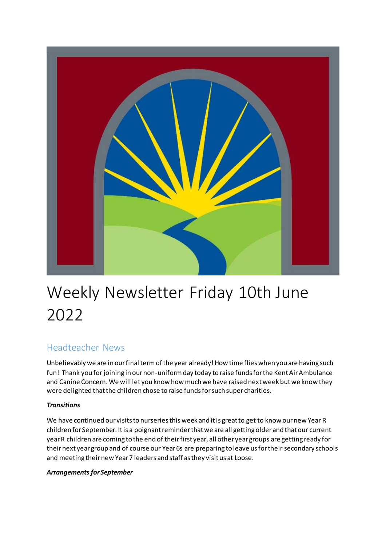

# Weekly Newsletter Friday 10th June 2022

# Headteacher News

Unbelievably we are in our final term of the year already! How time flies when you are having such fun! Thank you for joining in our non-uniform day today to raise funds for the Kent Air Ambulance and Canine Concern. We will let you know how much we have raised next week but we know they were delighted that the children chose to raise funds for such super charities.

### *Transitions*

We have continued our visits to nurseries this week and it is great to get to know our new Year R children for September. It is a poignant reminder that we are all getting older and that our current year R children are coming to the end of their first year, all other year groups are getting ready for their next year group and of course our Year 6s are preparing to leave us for their secondary schools and meeting their new Year 7 leaders and staff as they visit us at Loose.

### *Arrangements for September*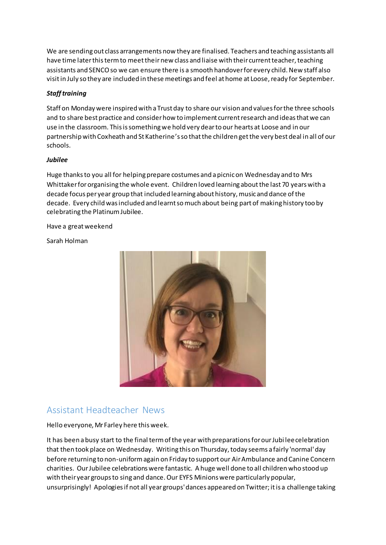We are sending out class arrangements now they are finalised. Teachers and teaching assistants all have time later this term to meet their new class and liaise with their current teacher, teaching assistants and SENCO so we can ensure there is a smooth handover for every child. New staff also visit in July so they are included in these meetings and feel at home at Loose, ready for September.

### *Staff training*

Staff on Monday were inspired with a Trust day to share our vision and values for the three schools and to share best practice and consider how to implement current research and ideas that we can use in the classroom. This is something we hold very dear to our hearts at Loose and in our partnership with Coxheath and St Katherine's so that the children get the very best deal in all of our schools.

### *Jubilee*

Huge thanks to you all for helping prepare costumes and a picnic on Wednesday and to Mrs Whittaker for organising the whole event. Children loved learning about the last 70 years with a decade focus per year group that included learning about history, music and dance of the decade. Every child was included and learnt so much about being part of making history too by celebrating the Platinum Jubilee.

Have a great weekend

Sarah Holman



# Assistant Headteacher News

Hello everyone, Mr Farley here this week.

It has been a busy start to the final term of the year with preparations for our Jubi lee celebration that then took place on Wednesday. Writing this on Thursday, today seems a fairly 'normal' day before returning to non-uniform again on Friday to support our Air Ambulance and Canine Concern charities. Our Jubilee celebrations were fantastic. A huge well done to all children who stood up with their year groups to sing and dance. Our EYFS Minions were particularly popular, unsurprisingly! Apologies if not all year groups' dances appeared on Twitter; it is a challenge taking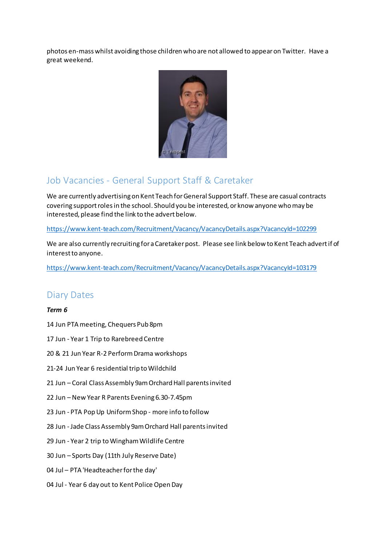photos en-mass whilst avoiding those children who are not allowed to appear on Twitter. Have a great weekend.



# Job Vacancies - General Support Staff & Caretaker

We are currently advertising on Kent Teach for General Support Staff. These are casual contracts covering support roles in the school. Should you be interested, or know anyone who may be interested, please find the link to the advert below.

[https://www.kent-teach.com/Recruitment/Vacancy/VacancyDetails.aspx?VacancyId=102299](https://www.kent-teach.com/Recruitment/Vacancy/VacancyDetails.aspx?VacancyId=102299GatesA)

We are also currently recruiting for a Caretaker post. Please see link below to Kent Teach advert if of interest to anyone.

<https://www.kent-teach.com/Recruitment/Vacancy/VacancyDetails.aspx?VacancyId=103179>

### Diary Dates

### *Term 6*

- 14 Jun PTA meeting, Chequers Pub 8pm
- 17 Jun Year 1 Trip to Rarebreed Centre
- 20 & 21 Jun Year R-2 Perform Drama workshops
- 21-24 Jun Year 6 residential trip to Wildchild
- 21 Jun Coral Class Assembly 9am Orchard Hall parents invited
- 22 Jun New Year R Parents Evening 6.30-7.45pm
- 23 Jun PTA Pop Up Uniform Shop more info to follow
- 28 Jun Jade Class Assembly 9am Orchard Hall parents invited
- 29 Jun Year 2 trip to Wingham Wildlife Centre
- 30 Jun Sports Day (11th July Reserve Date)
- 04 Jul PTA 'Headteacher for the day'
- 04 Jul Year 6 day out to Kent Police Open Day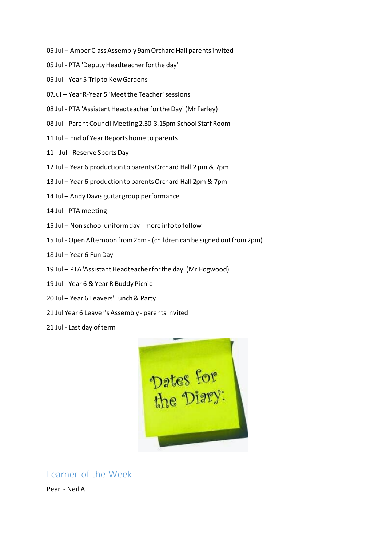- 05 Jul Amber Class Assembly 9am Orchard Hall parents invited
- 05 Jul PTA 'Deputy Headteacher for the day'
- 05 Jul Year 5 Trip to Kew Gardens
- 07Jul Year R-Year 5 'Meet the Teacher' sessions
- 08 Jul PTA 'Assistant Headteacher for the Day' (Mr Farley)
- 08 Jul Parent Council Meeting 2.30-3.15pm School Staff Room
- 11 Jul End of Year Reports home to parents
- 11 Jul Reserve Sports Day
- 12 Jul Year 6 production to parents Orchard Hall 2 pm & 7pm
- 13 Jul Year 6 production to parents Orchard Hall 2pm & 7pm
- 14 Jul Andy Davis guitar group performance
- 14 Jul PTA meeting
- 15 Jul Non school uniform day more info to follow
- 15 Jul Open Afternoon from 2pm (children can be signed out from 2pm)
- 18 Jul Year 6 Fun Day
- 19 Jul PTA 'Assistant Headteacher for the day' (Mr Hogwood)
- 19 Jul Year 6 & Year R Buddy Picnic
- 20 Jul Year 6 Leavers' Lunch & Party
- 21 Jul Year 6 Leaver's Assembly parents invited
- 21 Jul Last day of term



Learner of the Week

Pearl - Neil A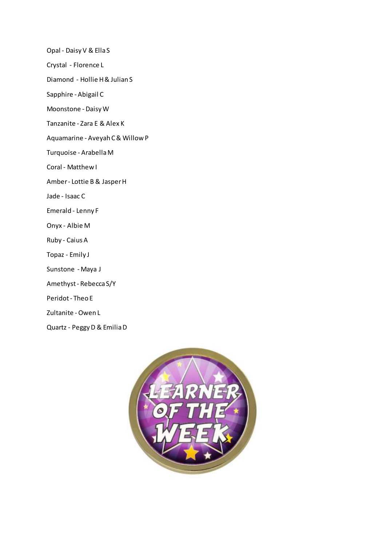Opal - Daisy V & Ella S

Crystal - Florence L

Diamond - Hollie H & Julian S

Sapphire - Abigail C

Moonstone - Daisy W

Tanzanite - Zara E & Alex K

Aquamarine - Aveyah C & Willow P

Turquoise - Arabella M

Coral - Matthew I

Amber - Lottie B & Jasper H

Jade - Isaac C

Emerald - Lenny F

Onyx - Albie M

Ruby - Caius A

Topaz - Emily J

- Sunstone Maya J
- Amethyst Rebecca S/Y

Peridot - Theo E

Zultanite -Owen L

Quartz - Peggy D & Emilia D

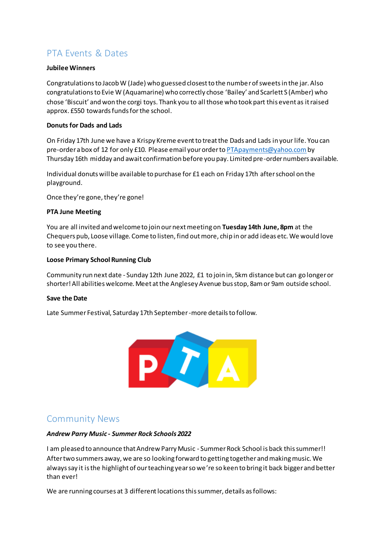# PTA Events & Dates

### **Jubilee Winners**

Congratulations to Jacob W (Jade) who guessed closest to the number of sweets in the jar. Also congratulations to Evie W (Aquamarine) who correctly chose 'Bailey' and Scarlett S (Amber) who chose 'Biscuit' and won the corgi toys. Thank you to all those who took part this event as it raised approx. £550 towards funds for the school.

### **Donuts for Dads and Lads**

On Friday 17th June we have a Krispy Kreme event to treat the Dads and Lads in your life. You can pre-order a box of 12 for only £10. Please email your order to [PTApayments@yahoo.com](mailto:PTApayments@yahoo.com)by Thursday 16th midday and await confirmation before you pay. Limited pre-order numbers available.

Individual donuts will be available to purchase for £1 each on Friday 17th after school on the playground.

Once they're gone, they're gone!

#### **PTA June Meeting**

You are all invited and welcome to join our next meeting on **Tuesday 14th June, 8pm** at the Chequers pub, Loose village. Come to listen, find out more, chip in or add ideas etc. We would love to see you there.

### **Loose Primary School Running Club**

Community run next date - Sunday 12th June 2022, £1 to join in, 5km distance but can go longer or shorter! All abilities welcome. Meet at the Anglesey Avenue bus stop, 8am or 9am outside school.

#### **Save the Date**

Late Summer Festival, Saturday 17th September-more details to follow.



# Community News

#### *Andrew Parry Music - Summer Rock Schools 2022*

I am pleased to announce that Andrew Parry Music - Summer Rock School is back this summer!! After two summers away, we are so looking forward to getting together and making music. We always say it is the highlight of our teaching year so we're so keen to bring it back bigger and better than ever!

We are running courses at 3 different locations this summer, details as follows: